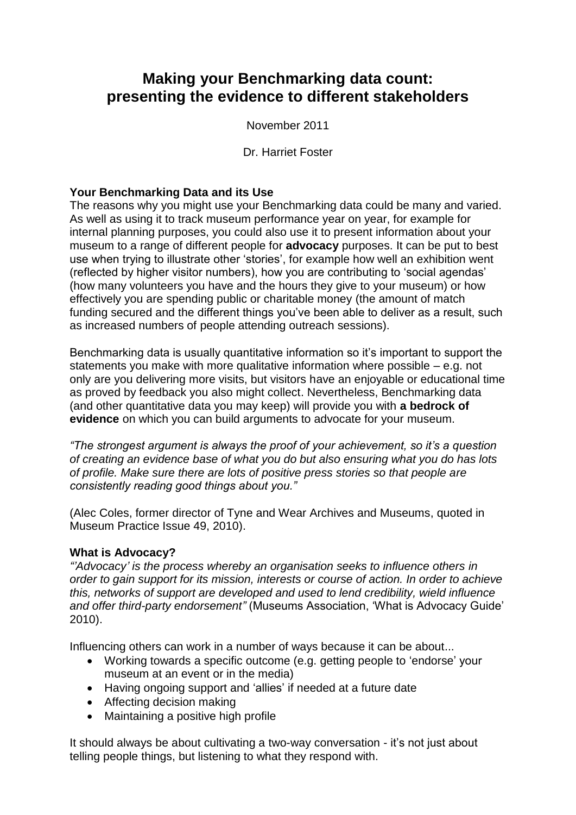# **Making your Benchmarking data count: presenting the evidence to different stakeholders**

November 2011

Dr. Harriet Foster

## **Your Benchmarking Data and its Use**

The reasons why you might use your Benchmarking data could be many and varied. As well as using it to track museum performance year on year, for example for internal planning purposes, you could also use it to present information about your museum to a range of different people for **advocacy** purposes. It can be put to best use when trying to illustrate other 'stories', for example how well an exhibition went (reflected by higher visitor numbers), how you are contributing to 'social agendas' (how many volunteers you have and the hours they give to your museum) or how effectively you are spending public or charitable money (the amount of match funding secured and the different things you've been able to deliver as a result, such as increased numbers of people attending outreach sessions).

Benchmarking data is usually quantitative information so it's important to support the statements you make with more qualitative information where possible – e.g. not only are you delivering more visits, but visitors have an enjoyable or educational time as proved by feedback you also might collect. Nevertheless, Benchmarking data (and other quantitative data you may keep) will provide you with **a bedrock of evidence** on which you can build arguments to advocate for your museum.

*"The strongest argument is always the proof of your achievement, so it's a question of creating an evidence base of what you do but also ensuring what you do has lots of profile. Make sure there are lots of positive press stories so that people are consistently reading good things about you."*

(Alec Coles, former director of Tyne and Wear Archives and Museums, quoted in Museum Practice Issue 49, 2010).

## **What is Advocacy?**

*"'Advocacy' is the process whereby an organisation seeks to influence others in order to gain support for its mission, interests or course of action. In order to achieve this, networks of support are developed and used to lend credibility, wield influence and offer third-party endorsement"* (Museums Association, 'What is Advocacy Guide' 2010).

Influencing others can work in a number of ways because it can be about...

- Working towards a specific outcome (e.g. getting people to 'endorse' your museum at an event or in the media)
- Having ongoing support and 'allies' if needed at a future date
- Affecting decision making
- Maintaining a positive high profile

It should always be about cultivating a two-way conversation - it's not just about telling people things, but listening to what they respond with.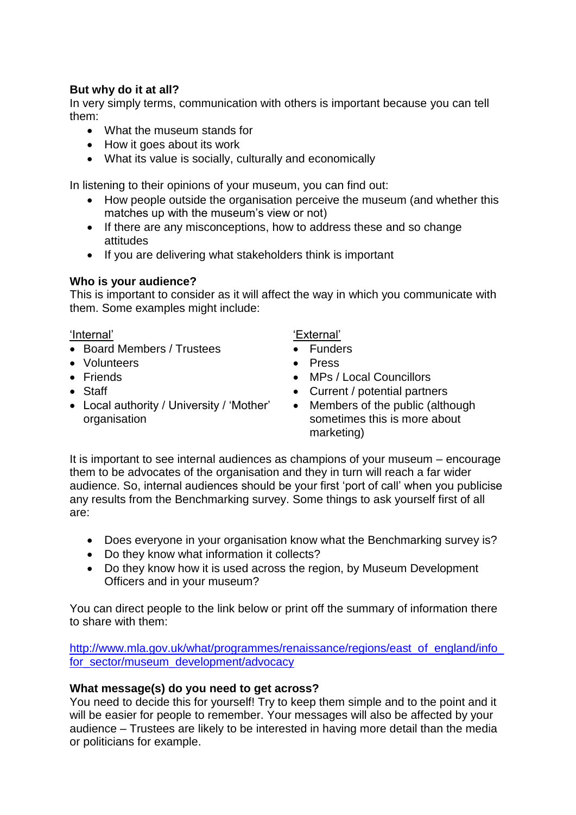### **But why do it at all?**

In very simply terms, communication with others is important because you can tell them:

- What the museum stands for
- How it goes about its work
- What its value is socially, culturally and economically

In listening to their opinions of your museum, you can find out:

- How people outside the organisation perceive the museum (and whether this matches up with the museum's view or not)
- If there are any misconceptions, how to address these and so change attitudes
- If you are delivering what stakeholders think is important

### **Who is your audience?**

This is important to consider as it will affect the way in which you communicate with them. Some examples might include:

#### 'Internal'

- Board Members / Trustees
- Volunteers
- Friends
- Staff
- Local authority / University / 'Mother' organisation

'External'

- **•** Funders
- Press
- MPs / Local Councillors
- Current / potential partners
- Members of the public (although sometimes this is more about marketing)

It is important to see internal audiences as champions of your museum – encourage them to be advocates of the organisation and they in turn will reach a far wider audience. So, internal audiences should be your first 'port of call' when you publicise any results from the Benchmarking survey. Some things to ask yourself first of all are:

- Does everyone in your organisation know what the Benchmarking survey is?
- Do they know what information it collects?
- Do they know how it is used across the region, by Museum Development Officers and in your museum?

You can direct people to the link below or print off the summary of information there to share with them:

[http://www.mla.gov.uk/what/programmes/renaissance/regions/east\\_of\\_england/info\\_](http://www.mla.gov.uk/what/programmes/renaissance/regions/east_of_england/info_for_sector/museum_development/advocacy) [for\\_sector/museum\\_development/advocacy](http://www.mla.gov.uk/what/programmes/renaissance/regions/east_of_england/info_for_sector/museum_development/advocacy)

## **What message(s) do you need to get across?**

You need to decide this for yourself! Try to keep them simple and to the point and it will be easier for people to remember. Your messages will also be affected by your audience – Trustees are likely to be interested in having more detail than the media or politicians for example.